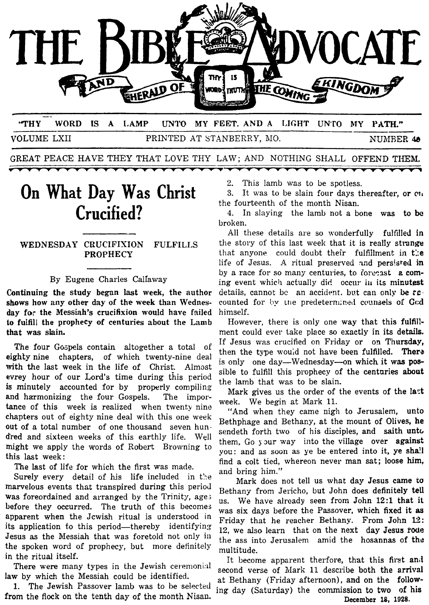

-- **'THY WORD IS A IAAMP ZTNTQ MY FEET. AND A LIGHT UN'I'O MY PATH."**  VOLUME LXII PRINTED AT STANBERRY, MO. NUMBER 40

GREAT PEACE HAVE THEY THAT LOVE THY LAW; AND NOTHING SHALL OFFEND THEM.

# **On What Day Was Christ Crucified?**

### **WEDNESDAY CRUCIFIXION FULFILIS PROPHECY**

#### By Eugene Charles Callaway

Continuing the study began last week, the author **shows** how any other **day of** the week than Wednesday for the Messiah's crucifixion would have failed **to** fuIfill **the** prophecy of centuries about the **Lamb**  that was slain.

The four Gospels contain altogether a total of eighty nine chapters, of which twenty-nine deal with the last week in the life of Christ. Almost evrey hour of our Lord's time during this period **is** minutely accounted for by properly compiling and harmonizing the four Gospels. The importance of this week is realized when twenty nine chapters out of eighty nine deal with this one week out of a total number of one thousand seven hundred and sixteen weeks of this earthly life. Well might we apply the words of Robert Browning to this last week:

The last of life for which the first was made.

Surely every detail of his life included in the marvelous events that transpired during this period **was** foreordained and arranged by the Trinity, age; before they occurred. The truth of this becomes apparent when the Jcwish ritual is understood in its application to this period—thereby identifying Jesus as the Messiah that was foretold not only **i:i**  the spoken word of prophecy, but more definitely in the ritual itself.

There were many types in the Jewish ceremonial law by which the Messiah could be identified.

1. The Jewish Passover lamb was to be selected ing day (Saturday) the commission to two **of his** from the **flock** on the tenth day **of** the month Nisau. **December 18, 1928.** 

2. This lamb was to be spotless.

3. It was to be slain four days thereafter, or  $\alpha$ the fourteenth of the month Nisan.

**4.** In slaying the lamb not a bone was to **bc**  broken.

All these details are so wonderfully fulfilled **in**  the story of this last week that it is really strange that anyone could doubt their fulfillment in the life of Jesus. A ritual preserved and persisted in by a race for so many centuries, to foreeast a coming event which actually did occur in its minutest details, cannot **bc** an accidmt. bvt can only **be TC.**  counted for by the predeternined counsels of God himself.

However, there is only one way that this fulfillment could ever take place *so* exactly in its details. If Jesus **mas** crucified on Friday or on Thursday, then the type wou;d not have been fulfilled. **Thera**  is only one day-Wednesday-on which it was **pos**sible to fulfill this prophecy of the centuries about the lamb that was to be slain.

Mark gives us the order of the events of the **1a:t**  week. We begin at Mark 11.

"And when they came nigh to Jerusalem, unto Bethphage and Bethany, at the mount of Olives, he sendeth forth two of his disciples, and saith unto them, Go your way into the village over against you: and as soon as ye be entered into it, ye **sha!l**  find a colt tied, whereon never man sat; loose him, and bring him."

Mark does not tell us what day Jesus came **to**  Bethany from Jericho, but John does definitely tell us. We have already seen from John **12:l** that it was six days before the Passover, which fixed it **as**  Friday that he reacher Bethany. From John **l2:**  12, we also learn that on the next day Jesus **rwe**  the ass into Jerusalem amid the hosannas **of** th2 multitude.

It become apparent therfore, that this first and second verse of Mark 11 describe both the arrival at Bethany (Friday afternoon), and on the follow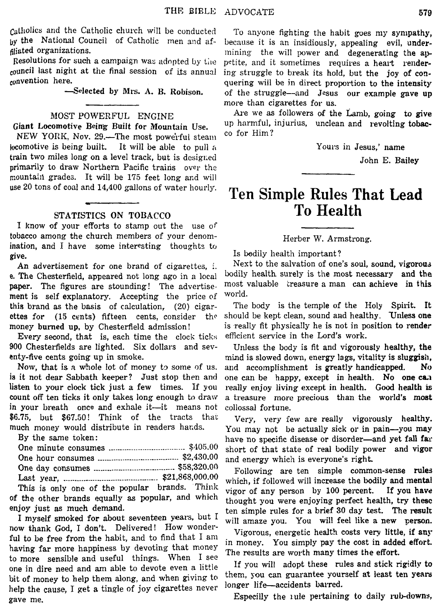**Catholics** arid the Catholic church will be conducted **by** the National Council of Catholic men and affiliated organizations.

Resolutions for such a campaign was adopted by the council last night at the final session of its annual convention here.

-Selected by **Mrs. A. B.** Robison.

#### **MOST** POWERFUL ENGINE

Giant Locomotive Being Built **for** Mountain **Use.** 

NEW YORK, Nov. 29.—The most powerful steam locomotive is being built. It will be able to pull a train two miles long on a level track, but is designed primarily to draw Northern Pacific trains over the mountain grades. It will be 175 feet long and will use 20 tons of coal and 14,400 gallons of water hourly.

#### **STATISTICS ON TOBACCO**

**I** know of your efforts to stamp out the use **OF**  tobacco among the church members of your denomination, and I have some interesting thoughts to give.<br>An advertisement for one brand of cigarettes : Next to the salvation of one's soul, sound, vigorous

An advertisement for one brand of cigarettes,  $\vdots$ . **e.** The Chesterfield, appeared not long ago in a local bodily health surely is the most necessary and the nancy The figures are stounding! The advertise, most valuable treasure a man can achieve in this paper. The figures are stounding! The advertise-  $\frac{\text{most}}{\text{mont}}$  is self explanatory. Accorting the price of world. ment is self explanatory. Accepting the price of **this** brand as the basis of CaIculation, (20) cigar- The body is the temple of the Holy Spirit. It ettes for (15 cents) fifteen cents, consider the should be kept clean, sound and healthy. Unless one money burned up, by Chesterfield admission! is really fit physically he is not in position to render

900 Chesterfields are lighted. Six dollars and sev- Unless the body is fit and vigorously healthy, the enty-five cents going up in smoke. mind is slowed down, energy lags, vitality is sluggish, Every second, that is, each time the clock ticks efficient service in the Lord's work.

is it not dear Sabbath keeper? Just stop then and one can be happy, except in health. No one can listen to your clock tick just a few times. If you really enjoy living except in health. Good health is count *off* ten ticks it only takes long enough to draw a treasure more precious than the world's **most**  in your breath once and exhale it-it means not collossal fortune. \$6.75, but **\$67.50!** Think of the tracts that Very, very few are really vigorously healthy.

By the same token:

|                                                          | and energ   |
|----------------------------------------------------------|-------------|
|                                                          | Followi     |
|                                                          | which, if : |
| This is only one of the popular brands. Think vigor of a |             |
|                                                          |             |

of the other brands equally as popular, and which enjoy just as much demand.

**now** thank **God,** I don't. Delivered! How wonderful to be free from the habit, and to find that I am in money. You simply pay the cost in added effort. having far more happiness by devoting that money to more sensible and useful things. When I see If you will adopt these rules and stick rigidly to one in dire need and **am** able to devote even a little help the cause, I get a tingle of joy cigarettes never gave me. I myself smoked for about seventeen years, but I

To anyone fighting the habit goes **my** sympathy, because it is an insidiously, appealing evil, undermining the will power and degenerating the appetite, and it sometimes requires a heart rendering struggle to break its hold, but the joy of conquering will be in direct proportion to the intensity of the struggle--and Jesus our example gave up more than cigarettes for us.

Are we as followers of the Lamb, going to give up harmful, injurius, unclean and revolting tobacco for Him?

Yours in Jesus,' name

John E. Bailey

# **Ten Simple Rules That Lead To Health**

Herber W. Armstrong.

Now, that is a whole lot of money to some of us. and accomplishment is greatly handicapped. No really enjoy living except in health. Good health is

much money would distribute in readers hands. You may not be actually sick or in pain-you may have no specific disease or disorder-and yet fall far short of that state of real bodily power and vigor and energy which is everyone's right.

Following are ten simple common-sense rules which, if followed will increase the bodily and mental This is only one of the popular brands. Think vigor of any person by 100 percent. If you have thought you were enjoying perfect health, try these ten simple rules for a brief 30 day test. The result will amaze you. You will feel like a new person.

> Vigorous, energetic health costs very little, if **any**  The results are worth many times the effort.

> them, you can guarantee yourself at least ten years longer life-accidents barred.

Especilly the rule pertaining to daily rub-downs,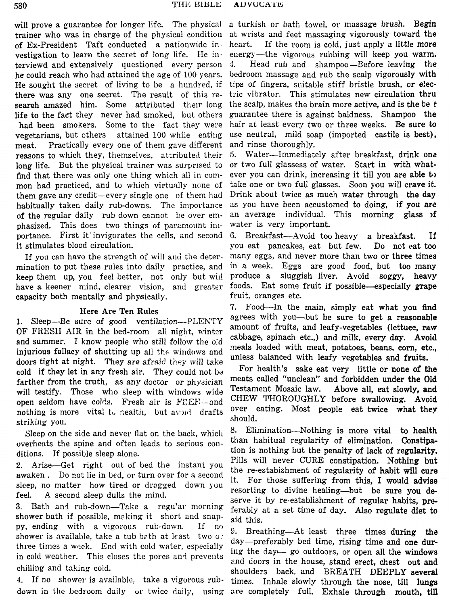will prove a guarantee for longer life. The physical trainer who was in charge of the physical condition of Ex-President Taft conducted a nationwide investigation to learn the secret of long life. He interviewd and extensively questioned every person he could reach who had attained the age of 100 years. He sought the secret of living to be a hundred, if there was any one secret. The result of this research amazed him. Some attributed their long life to the fact they never had smoked, but, others had been smokers. Some to the fact they were vegetarians, but others attained 100 while eating meat. Practically every one of them gave different reasons to which they, themselves, attributed their long life. But the physical trainer was surprised to find that there was only one thing which all in common had practiced, and to which virtually ncne of them gave any credit-every single one of them had habitually taken daily rub-downs. The importance of the regular daily rub down cannot be over emphasized. This does two things of paramount importance. First it' invigorates the cells, and second it stimulates blood circulation.

If you can have the strength of will and the determination to put these rules into daily practice, and keep them up, you feel better, not only but wid have a keener mind, clearer vision, and greater capacity both mentally and physically.

## Here Are Ten Rules

1. Sleep-Be sure of good ventilation--PLENTY OF FRESH AIR in the bed-room all night, winter and summer. I know people who still follow the o:d injurious fallacy of shutting up all the windows and doors tight at night. They are afraid they will take cold if they let in any fresh air. They could not be farther from the truth, as any doctor or physician will testify. Those **who** sleep with windows wide open seldom have colds. Fresh air is FREE-and nothing is more vital to nealtii, but avoid drafts striking you.

Sleep on the side and never flat on the back, whicli overheats the spine and often leads to serious conditions. If possible sleep alone.

**2.** Arise-Get right out of bed the instant you awaken. Do not lie in bed, or turn over for a second sleep, no matter how tired or dragged down you feel. A second sleep dulls the mind.

**3.** Bath and rub-down-Take a regu'ar morning shower bath if possible, making it short and snappy, ending with a vigorous rub-down. If no shower is available, take a tub bath at least two  $\circ$ : three times a week. End with cold water, especially in cold weather. This closes the pores and prevents chilling and taking cold.

**4.** If no shower is available, take a vigorous rub-

a turkish or bath towel, or massage brush. Begin at wiists and feet massaging vigorously toward the heart. If the room is cold, just apply a little **more**  energy—the vigorous rubbing will keep you warm. 4. Head rub and shampoo—Before leaving the bedroom massage and rub the scalp vigorously with tips of fingers, suitable stiff bristle brush, or e!ectric vibrator. This stimulates new circulation thru the scalp, makes the brain more active, and is the **be f**  guarantee there is against baldness. Shampoo the hair at least every two or three weeks. Be sure *to*  use neutral, mild soap (imported castile is best), and rinse thoroughly.

5. Water-Immediately after breakfast, drink one or two full glassess of water. Start in with whatever you can drink, increasing it till you are able to take one or two full glasses. Soon you will crave it. Drink about twice as much water through the day as you have been accustomed to doing, if you **arc?**  an average individual. This morning glass of water is very important.

**6.** Breakfast-Avoid too heavy a breakfast. **If**  you eat pancakes, eat but few. Do not eat too many eggs, and never more than two or three times in a week. Eggs are good food, but too many produce a sluggish liver. Avoid soggy, heavy foods. Eat some fruit if possible—especially grape fruit, oranges etc.

**7.** Food-In the main, simply eat what you find agrees with you-but be sure to get a reasonable amount of fruits, and leafy-vegetables (lettuce, raw cabbage, spinach etc.,) and milk, every day. Avoid meals loaded with meat, potatoes, beans, corn, etc., unless balanced with leafy vegetables and fruits.

For health's sake eat very little or none of the meats called "unclean" and forbidden under the Old Testament Mosaic law. Above all, eat slowly, **and**  CHEW THOROUGHLY before swallowing. Avoid over eating. Most people eat twice what they should.

8. Elimination-Nothing is more vital to health than habitual regularity of elimination. Constipation is nothing but the penalty of lack of regularity. Pills will never **CURE** constipation. Nothing but the re-estabishment of regularity of habit will **cure**  it. For those suffering from this, I would **advise**  resorting to divine healing—but be sure you deserve it by re-establishment of regular habits, **pre**ferably at **a** set time of day. *Also* regulate diet to aid this.

**down** in the ledroom daily or twice daily, using are completely full. Exhale through mouth, till 9. Breathing-At least three times during the day-preferably bed time, rising time and one during the day- go outdoors, or open all the windows and doors in the house, stand erect, chest out and shoulders back, and BREATH DEEPLY several times. Inhale slowly through **the** nose, till lungs